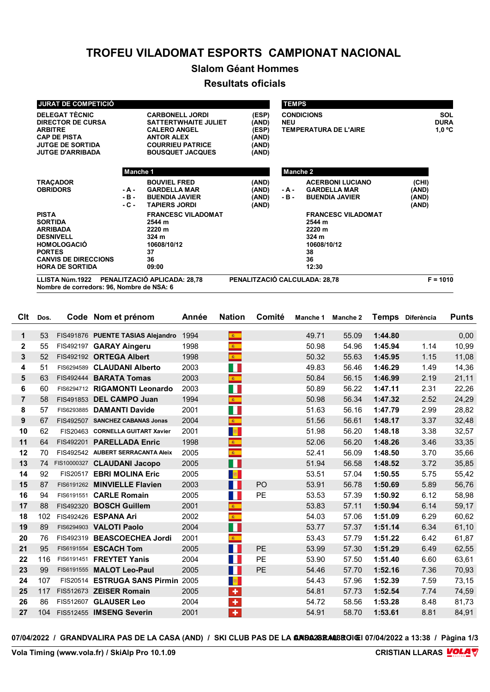# **TROFEU VILADOMAT ESPORTS CAMPIONAT NACIONAL**

## **Slalom Géant Hommes**

#### **Resultats oficials**

| <b>JURAT DE COMPETICIÓ</b>                                                                  |                 |                                                                                                |                                  | <b>TEMPS</b>    |                                              |                    |
|---------------------------------------------------------------------------------------------|-----------------|------------------------------------------------------------------------------------------------|----------------------------------|-----------------|----------------------------------------------|--------------------|
| <b>DELEGAT TÈCNIC</b><br><b>DIRECTOR DE CURSA</b>                                           |                 | <b>CARBONELL JORDI</b><br><b>SATTERTWHAITE JULIET</b>                                          | (ESP)<br>(AND)                   | <b>NEU</b>      | <b>CONDICIONS</b>                            | SOL<br><b>DURA</b> |
| <b>ARBITRE</b><br><b>CAP DE PISTA</b><br><b>JUTGE DE SORTIDA</b><br><b>JUTGE D'ARRIBADA</b> |                 | <b>CALERO ANGEL</b><br><b>ANTOR ALEX</b><br><b>COURRIEU PATRICE</b><br><b>BOUSQUET JACQUES</b> | (ESP)<br>(AND)<br>(AND)<br>(AND) |                 | <b>TEMPERATURA DE L'AIRE</b>                 | $1,0$ °C           |
|                                                                                             | Manche 1        |                                                                                                |                                  | Manche 2        |                                              |                    |
| <b>TRACADOR</b>                                                                             |                 | <b>BOUVIEL FRED</b>                                                                            | (AND)                            |                 | <b>ACERBONI LUCIANO</b>                      | (CHI)              |
| <b>OBRIDORS</b>                                                                             | - A -<br>$-B -$ | <b>GARDELLA MAR</b><br><b>BUENDIA JAVIER</b>                                                   | (AND)<br>(AND)                   | - A -<br>$-B -$ | <b>GARDELLA MAR</b><br><b>BUENDIA JAVIER</b> | (AND)<br>(AND)     |
|                                                                                             | $-C -$          | <b>TAPIERS JORDI</b>                                                                           | (AND)                            |                 |                                              | (AND)              |
| <b>PISTA</b>                                                                                |                 | <b>FRANCESC VILADOMAT</b>                                                                      |                                  |                 | <b>FRANCESC VILADOMAT</b>                    |                    |
| <b>SORTIDA</b>                                                                              |                 | 2544 m                                                                                         |                                  |                 | 2544 m                                       |                    |
| <b>ARRIBADA</b>                                                                             |                 | 2220 m                                                                                         |                                  |                 | 2220 m                                       |                    |
| <b>DESNIVELL</b>                                                                            |                 | 324 <sub>m</sub>                                                                               |                                  |                 | 324 <sub>m</sub>                             |                    |
| <b>HOMOLOGACIÓ</b>                                                                          |                 | 10608/10/12                                                                                    |                                  |                 | 10608/10/12                                  |                    |
| <b>PORTES</b>                                                                               |                 | 37                                                                                             |                                  |                 | 38                                           |                    |
| <b>CANVIS DE DIRECCIONS</b>                                                                 |                 | 36                                                                                             |                                  |                 | 36                                           |                    |
| <b>HORA DE SORTIDA</b>                                                                      |                 | 09:00                                                                                          |                                  |                 | 12:30                                        |                    |
| PENALITZACIÓ APLICADA: 28,78<br>LLISTA Núm.1922                                             |                 |                                                                                                | PENALITZACIÓ CALCULADA: 28,78    |                 |                                              | $F = 1010$         |

**Nombre de corredors: 96, Nombre de NSA: 6**

| Clt            | Dos. |           | Code Nom et prénom                | Année | <b>Nation</b>               | Comité         | Manche 1 | Manche 2 |         | Temps Diferència | <b>Punts</b> |
|----------------|------|-----------|-----------------------------------|-------|-----------------------------|----------------|----------|----------|---------|------------------|--------------|
|                |      |           |                                   |       |                             |                |          |          |         |                  |              |
| $\mathbf 1$    | 53   |           | FIS491876 PUENTE TASIAS Alejandro | 1994  | ŵ.                          |                | 49.71    | 55.09    | 1:44.80 |                  | 0,00         |
| $\mathbf{2}$   | 55   |           | FIS492197 GARAY Aingeru           | 1998  | $\mathbf{R}^{\top}$         |                | 50.98    | 54.96    | 1:45.94 | 1.14             | 10,99        |
| 3              | 52   |           | FIS492192 ORTEGA Albert           | 1998  | $\mathbf{R}^{\top}$         |                | 50.32    | 55.63    | 1:45.95 | 1.15             | 11,08        |
| 4              | 51   |           | FIS6294589 CLAUDANI Alberto       | 2003  | a ka                        |                | 49.83    | 56.46    | 1:46.29 | 1.49             | 14,36        |
| 5              | 63   |           | FIS492444 BARATA Tomas            | 2003  | $\mathbb{R}^+$              |                | 50.84    | 56.15    | 1:46.99 | 2.19             | 21,11        |
| 6              | 60   |           | FIS6294712 RIGAMONTI Leonardo     | 2003  | H.                          |                | 50.89    | 56.22    | 1:47.11 | 2.31             | 22,26        |
| $\overline{7}$ | 58   |           | FIS491853 DEL CAMPO Juan          | 1994  | $\mathcal{R}^{\pm}$         |                | 50.98    | 56.34    | 1:47.32 | 2.52             | 24,29        |
| 8              | 57   |           | FIS6293885 DAMANTI Davide         | 2001  | $\mathbb{R}^3$              |                | 51.63    | 56.16    | 1:47.79 | 2.99             | 28,82        |
| 9              | 67   | FIS492507 | <b>SANCHEZ CABANAS Jonas</b>      | 2004  | $\bullet$                   |                | 51.56    | 56.61    | 1:48.17 | 3.37             | 32,48        |
| 10             | 62   |           | FIS20463 CORNELLA GUITART Xavier  | 2001  | <b>B</b>                    |                | 51.98    | 56.20    | 1:48.18 | 3.38             | 32,57        |
| 11             | 64   | FIS492201 | <b>PARELLADA Enric</b>            | 1998  | $\frac{1}{2}$               |                | 52.06    | 56.20    | 1:48.26 | 3.46             | 33,35        |
| 12             | 70   |           | FIS492542 AUBERT SERRACANTA Aleix | 2005  | $\mathbf{k}$                |                | 52.41    | 56.09    | 1:48.50 | 3.70             | 35,66        |
| 13             | 74   |           | FIS10000327 CLAUDANI Jacopo       | 2005  | H.                          |                | 51.94    | 56.58    | 1:48.52 | 3.72             | 35,85        |
| 14             | 92   |           | FIS20517 EBRI MOLINA Eric         | 2005  | <b>B</b>                    |                | 53.51    | 57.04    | 1:50.55 | 5.75             | 55,42        |
| 15             | 87   |           | FIS6191262 MINVIELLE Flavien      | 2003  | H.                          | P <sub>O</sub> | 53.91    | 56.78    | 1:50.69 | 5.89             | 56,76        |
| 16             | 94   |           | FIS6191551 CARLE Romain           | 2005  | $\mathcal{L}_{\mathcal{A}}$ | <b>PE</b>      | 53.53    | 57.39    | 1:50.92 | 6.12             | 58,98        |
| 17             | 88   | FIS492320 | <b>BOSCH Guillem</b>              | 2001  | $\mathbf{R}^{\mathrm{in}}$  |                | 53.83    | 57.11    | 1:50.94 | 6.14             | 59,17        |
| 18             | 102  |           | FIS492426 ESPANA Ari              | 2002  | $\mathbf{R}^{\top}$         |                | 54.03    | 57.06    | 1:51.09 | 6.29             | 60,62        |
| 19             | 89   |           | FIS6294903 VALOTI Paolo           | 2004  | H.                          |                | 53.77    | 57.37    | 1:51.14 | 6.34             | 61,10        |
| 20             | 76   |           | FIS492319 BEASCOECHEA Jordi       | 2001  | $\mathbf{k}$ .              |                | 53.43    | 57.79    | 1:51.22 | 6.42             | 61,87        |
| 21             | 95   |           | FIS6191554 ESCACH Tom             | 2005  | H.                          | PE             | 53.99    | 57.30    | 1:51.29 | 6.49             | 62,55        |
| 22             | 116  |           | FIS6191451 FREYTET Yanis          | 2004  | M.                          | PE             | 53.90    | 57.50    | 1:51.40 | 6.60             | 63,61        |
| 23             | 99   |           | FIS6191555 MALOT Leo-Paul         | 2005  | M.                          | PE             | 54.46    | 57.70    | 1:52.16 | 7.36             | 70,93        |
| 24             | 107  |           | FIS20514 ESTRUGA SANS Pirmin 2005 |       | <b>B</b>                    |                | 54.43    | 57.96    | 1:52.39 | 7.59             | 73,15        |
| 25             | 117  |           | FIS512673 ZEISER Romain           | 2005  | $\ddot{\textbf{r}}$         |                | 54.81    | 57.73    | 1:52.54 | 7.74             | 74,59        |
| 26             | 86   |           | FIS512607 GLAUSER Leo             | 2004  | ٠                           |                | 54.72    | 58.56    | 1:53.28 | 8.48             | 81,73        |
| 27             | 104  |           | FIS512455 IMSENG Severin          | 2001  | $\ddot{\textbf{r}}$         |                | 54.91    | 58.70    | 1:53.61 | 8.81             | 84,91        |
|                |      |           |                                   |       |                             |                |          |          |         |                  |              |

07/04/2022 / GRANDVALIRA PAS DE LA CASA (AND) / SKI CLUB PAS DE LA **GRISA28RAOBROIGI** 07/04/2022 a 13:38 / Pàgina 1/3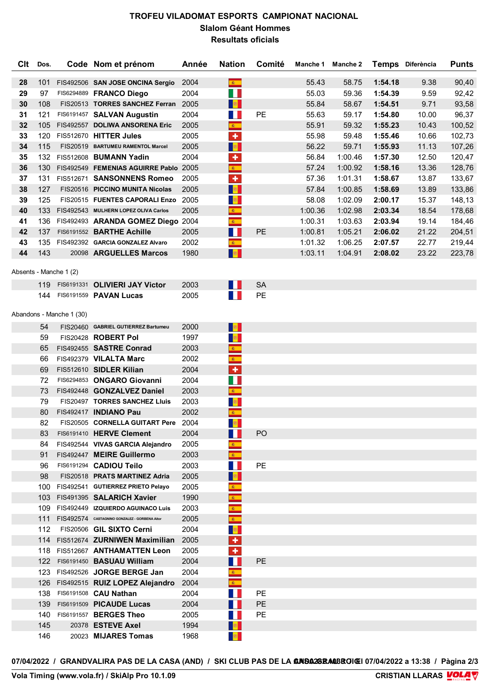## **TROFEU VILADOMAT ESPORTS CAMPIONAT NACIONAL Slalom Géant Hommes Resultats oficials**

| <b>C</b> It | Dos. |            | Code Nom et prénom               | Année | <b>Nation</b>       | Comité    | Manche 1 | Manche 2 | <b>Temps</b> | Diferència | <b>Punts</b> |
|-------------|------|------------|----------------------------------|-------|---------------------|-----------|----------|----------|--------------|------------|--------------|
|             |      |            |                                  |       |                     |           |          |          |              |            |              |
| 28          | 101  | FIS492506  | <b>SAN JOSE ONCINA Sergio</b>    | 2004  |                     |           | 55.43    | 58.75    | 1:54.18      | 9.38       | 90,40        |
| 29          | 97   | FIS6294889 | <b>FRANCO Diego</b>              | 2004  | W                   |           | 55.03    | 59.36    | 1:54.39      | 9.59       | 92,42        |
| 30          | 108  | FIS20513   | <b>TORRES SANCHEZ Ferran</b>     | 2005  | <b>B</b>            |           | 55.84    | 58.67    | 1:54.51      | 9.71       | 93,58        |
| 31          | 121  | FIS6191457 | <b>SALVAN Augustin</b>           | 2004  | Ш                   | <b>PE</b> | 55.63    | 59.17    | 1:54.80      | 10.00      | 96,37        |
| 32          | 105  | FIS492557  | <b>DOLIWA ANSORENA Eric</b>      | 2005  | $\mathcal{R}^{\pm}$ |           | 55.91    | 59.32    | 1:55.23      | 10.43      | 100,52       |
| 33          | 120  | FIS512670  | <b>HITTER Jules</b>              | 2005  | ٠                   |           | 55.98    | 59.48    | 1:55.46      | 10.66      | 102,73       |
| 34          | 115  | FIS20519   | <b>BARTUMEU RAMENTOL Marcel</b>  | 2005  | <b>B</b>            |           | 56.22    | 59.71    | 1:55.93      | 11.13      | 107,26       |
| 35          | 132  | FIS512608  | <b>BUMANN Yadin</b>              | 2004  | ٠                   |           | 56.84    | 1:00.46  | 1:57.30      | 12.50      | 120,47       |
| 36          | 130  | FIS492549  | <b>FEMENIAS AGUIRRE Pablo</b>    | 2005  | $\mathcal{R}^{\pm}$ |           | 57.24    | 1:00.92  | 1:58.16      | 13.36      | 128,76       |
| 37          | 131  | FIS512671  | <b>SANSONNENS Romeo</b>          | 2005  | ÷                   |           | 57.36    | 1:01.31  | 1:58.67      | 13.87      | 133,67       |
| 38          | 127  |            | FIS20516 PICCINO MUNITA Nicolas  | 2005  | <b>B</b>            |           | 57.84    | 1:00.85  | 1:58.69      | 13.89      | 133,86       |
| 39          | 125  |            | FIS20515 FUENTES CAPORALI Enzo   | 2005  | $\mathbf{E}$        |           | 58.08    | 1:02.09  | 2:00.17      | 15.37      | 148,13       |
| 40          | 133  | FIS492543  | MULHERN LOPEZ OLIVA Carlos       | 2005  | 家。                  |           | 1:00.36  | 1:02.98  | 2:03.34      | 18.54      | 178,68       |
| 41          | 136  |            | FIS492493 ARANDA GOMEZ Diego     | 2004  | $\mathcal{R}^{\pm}$ |           | 1:00.31  | 1:03.63  | 2:03.94      | 19.14      | 184,46       |
| 42          | 137  |            | FIS6191552 BARTHE Achille        | 2005  | H                   | PE.       | 1:00.81  | 1:05.21  | 2:06.02      | 21.22      | 204,51       |
| 43          | 135  |            | FIS492392 GARCIA GONZALEZ Alvaro | 2002  | $\mathcal{R}$ .     |           | 1:01.32  | 1:06.25  | 2:07.57      | 22.77      | 219,44       |
| 44          | 143  | 20098      | <b>ARGUELLES Marcos</b>          | 1980  | $\mathbb{R}^n$      |           | 1:03.11  | 1:04.91  | 2:08.02      | 23.22      | 223,78       |

#### **HORA DE SORTIDA 09:00 12:30** Absents - Manche 1 (2)

| 119 FIS6191331 OLIVIERI JAY Victor | 2003 |  |
|------------------------------------|------|--|
| 144 FIS6191559 <b>PAVAN Lucas</b>  | 2005 |  |

#### Abandons - Manche 1 (30)

| 54  | FIS20460 GABRIEL GUTIERREZ Bartumeu           | 2000 | <b>B</b>                    |                |  |  |
|-----|-----------------------------------------------|------|-----------------------------|----------------|--|--|
| 59  | FIS20428 ROBERT Pol                           | 1997 | $\mathbb{R}$                |                |  |  |
| 65  | FIS492455 SASTRE Conrad                       | 2003 | $\mathbf{g}_\mathrm{c}$     |                |  |  |
| 66  | FIS492379 VILALTA Marc                        | 2002 | $\bullet$                   |                |  |  |
| 69  | FIS512610 SIDLER Kilian                       | 2004 | $\overline{\phantom{a}}$    |                |  |  |
| 72  | FIS6294853 ONGARO Giovanni                    | 2004 | W                           |                |  |  |
| 73  | FIS492448 GONZALVEZ Daniel                    | 2003 | $\mathbf{g}_{\mathrm{f}}$ . |                |  |  |
| 79  | FIS20497 TORRES SANCHEZ Lluis                 | 2003 | <b>B</b>                    |                |  |  |
| 80  | FIS492417 INDIANO Pau                         | 2002 | $\bullet$                   |                |  |  |
| 82  | FIS20505 CORNELLA GUITART Pere                | 2004 | <b>RE</b>                   |                |  |  |
| 83  | FIS6191410 HERVE Clement                      | 2004 | Ш                           | P <sub>O</sub> |  |  |
| 84. | FIS492544 VIVAS GARCIA Alejandro              | 2005 | $\mathbf{g}_i$              |                |  |  |
| 91  | FIS492447 MEIRE Guillermo                     | 2003 | $\mathbf{g}$ .              |                |  |  |
| 96  | FIS6191294 CADIOU Teilo                       | 2003 | Ш                           | PE             |  |  |
| 98  | FIS20518 PRATS MARTINEZ Adria                 | 2005 | <b>B</b>                    |                |  |  |
| 100 | FIS492541 GUTIERREZ PRIETO Pelayo             | 2005 | $\mathcal{R}^+$             |                |  |  |
| 103 | FIS491395 SALARICH Xavier                     | 1990 | $\mathbf{R}_{\perp}$        |                |  |  |
| 109 | FIS492449 IZQUIERDO AGUINACO Luis             | 2003 | $\mathbf{R}^{\pm}$          |                |  |  |
| 111 | FIS492574 CASTAGNINO GONZALEZ - GORBENA Aitor | 2005 |                             |                |  |  |
| 112 | FIS20506 GIL SIXTO Cerni                      | 2004 | $\mathbb{R}$                |                |  |  |
| 114 | FIS512674 ZURNIWEN Maximilian                 | 2005 | $\overline{\textbf{r}}$     |                |  |  |
| 118 | FIS512667 ANTHAMATTEN Leon                    | 2005 | ÷                           |                |  |  |
|     | 122 FIS6191450 BASUAU William                 | 2004 | W                           | <b>PE</b>      |  |  |
| 123 | FIS492526 JORGE BERGE Jan                     | 2004 | $\mathbf{R}^{\top}$         |                |  |  |
|     | 126 FIS492515 RUIZ LOPEZ Alejandro            | 2004 | $\langle \hat{g}_i \rangle$ |                |  |  |
| 138 | FIS6191508 CAU Nathan                         | 2004 | ш                           | <b>PE</b>      |  |  |
| 139 | FIS6191509 PICAUDE Lucas                      | 2004 |                             | <b>PE</b>      |  |  |
| 140 | FIS6191557 BERGES Theo                        | 2005 |                             | PE             |  |  |
| 145 | 20378 ESTEVE Axel                             | 1994 |                             |                |  |  |
| 146 | 20023 MIJARES Tomas                           | 1968 | $\mathbf{B}$                |                |  |  |
|     |                                               |      |                             |                |  |  |

07/04/2022 / GRANDVALIRA PAS DE LA CASA (AND) / SKI CLUB PAS DE LA **GRISA28RAOBROIGI** 07/04/2022 a 13:38 / Pàgina 2/3